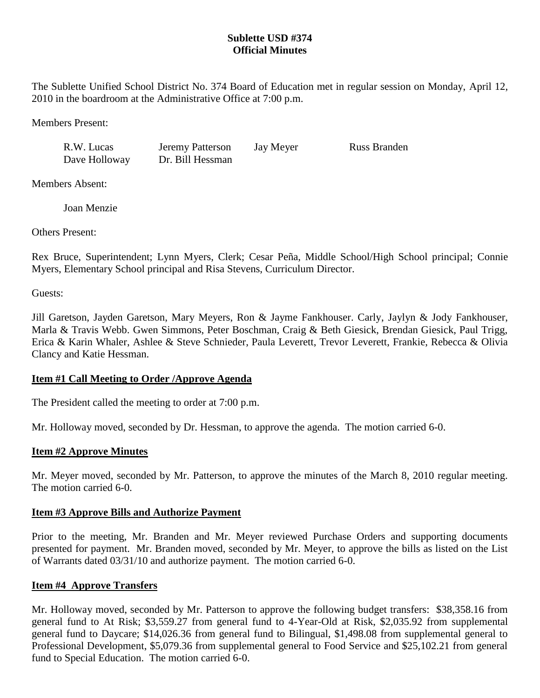# **Sublette USD #374 Official Minutes**

The Sublette Unified School District No. 374 Board of Education met in regular session on Monday, April 12, 2010 in the boardroom at the Administrative Office at 7:00 p.m.

Members Present:

R.W. Lucas Jeremy Patterson Jay Meyer Russ Branden

Dave Holloway Dr. Bill Hessman

Members Absent:

Joan Menzie

Others Present:

Rex Bruce, Superintendent; Lynn Myers, Clerk; Cesar Peña, Middle School/High School principal; Connie Myers, Elementary School principal and Risa Stevens, Curriculum Director.

Guests:

Jill Garetson, Jayden Garetson, Mary Meyers, Ron & Jayme Fankhouser. Carly, Jaylyn & Jody Fankhouser, Marla & Travis Webb. Gwen Simmons, Peter Boschman, Craig & Beth Giesick, Brendan Giesick, Paul Trigg, Erica & Karin Whaler, Ashlee & Steve Schnieder, Paula Leverett, Trevor Leverett, Frankie, Rebecca & Olivia Clancy and Katie Hessman.

# **Item #1 Call Meeting to Order /Approve Agenda**

The President called the meeting to order at 7:00 p.m.

Mr. Holloway moved, seconded by Dr. Hessman, to approve the agenda. The motion carried 6-0.

# **Item #2 Approve Minutes**

Mr. Meyer moved, seconded by Mr. Patterson, to approve the minutes of the March 8, 2010 regular meeting. The motion carried 6-0.

# **Item #3 Approve Bills and Authorize Payment**

Prior to the meeting, Mr. Branden and Mr. Meyer reviewed Purchase Orders and supporting documents presented for payment. Mr. Branden moved, seconded by Mr. Meyer, to approve the bills as listed on the List of Warrants dated 03/31/10 and authorize payment. The motion carried 6-0.

# **Item #4 Approve Transfers**

Mr. Holloway moved, seconded by Mr. Patterson to approve the following budget transfers: \$38,358.16 from general fund to At Risk; \$3,559.27 from general fund to 4-Year-Old at Risk, \$2,035.92 from supplemental general fund to Daycare; \$14,026.36 from general fund to Bilingual, \$1,498.08 from supplemental general to Professional Development, \$5,079.36 from supplemental general to Food Service and \$25,102.21 from general fund to Special Education. The motion carried 6-0.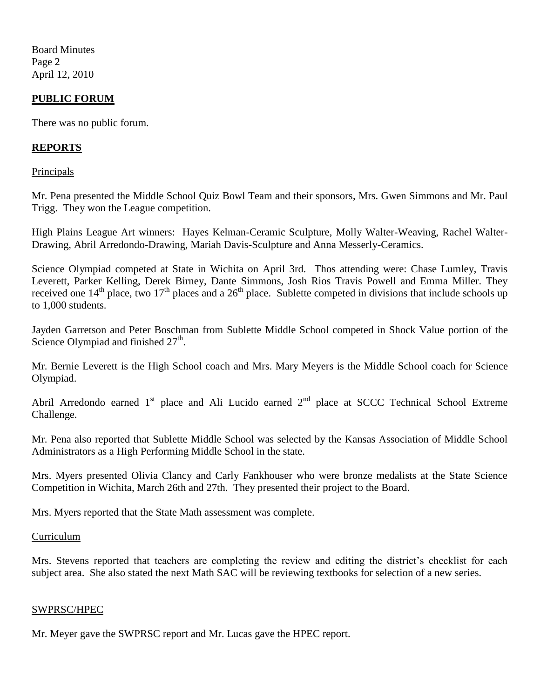Board Minutes Page 2 April 12, 2010

## **PUBLIC FORUM**

There was no public forum.

## **REPORTS**

**Principals** 

Mr. Pena presented the Middle School Quiz Bowl Team and their sponsors, Mrs. Gwen Simmons and Mr. Paul Trigg. They won the League competition.

High Plains League Art winners: Hayes Kelman-Ceramic Sculpture, Molly Walter-Weaving, Rachel Walter-Drawing, Abril Arredondo-Drawing, Mariah Davis-Sculpture and Anna Messerly-Ceramics.

Science Olympiad competed at State in Wichita on April 3rd. Thos attending were: Chase Lumley, Travis Leverett, Parker Kelling, Derek Birney, Dante Simmons, Josh Rios Travis Powell and Emma Miller. They received one  $14<sup>th</sup>$  place, two  $17<sup>th</sup>$  places and a  $26<sup>th</sup>$  place. Sublette competed in divisions that include schools up to 1,000 students.

Jayden Garretson and Peter Boschman from Sublette Middle School competed in Shock Value portion of the Science Olympiad and finished  $27<sup>th</sup>$ .

Mr. Bernie Leverett is the High School coach and Mrs. Mary Meyers is the Middle School coach for Science Olympiad.

Abril Arredondo earned  $1<sup>st</sup>$  place and Ali Lucido earned  $2<sup>nd</sup>$  place at SCCC Technical School Extreme Challenge.

Mr. Pena also reported that Sublette Middle School was selected by the Kansas Association of Middle School Administrators as a High Performing Middle School in the state.

Mrs. Myers presented Olivia Clancy and Carly Fankhouser who were bronze medalists at the State Science Competition in Wichita, March 26th and 27th. They presented their project to the Board.

Mrs. Myers reported that the State Math assessment was complete.

#### **Curriculum**

Mrs. Stevens reported that teachers are completing the review and editing the district's checklist for each subject area. She also stated the next Math SAC will be reviewing textbooks for selection of a new series.

#### SWPRSC/HPEC

Mr. Meyer gave the SWPRSC report and Mr. Lucas gave the HPEC report.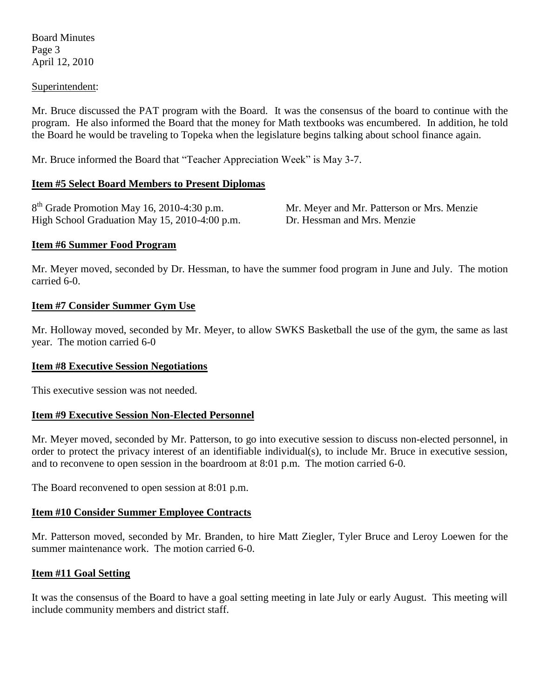Board Minutes Page 3 April 12, 2010

#### Superintendent:

Mr. Bruce discussed the PAT program with the Board. It was the consensus of the board to continue with the program. He also informed the Board that the money for Math textbooks was encumbered. In addition, he told the Board he would be traveling to Topeka when the legislature begins talking about school finance again.

Mr. Bruce informed the Board that "Teacher Appreciation Week" is May 3-7.

### **Item #5 Select Board Members to Present Diplomas**

| $8th$ Grade Promotion May 16, 2010-4:30 p.m.  |
|-----------------------------------------------|
| High School Graduation May 15, 2010-4:00 p.m. |

Mr. Meyer and Mr. Patterson or Mrs. Menzie Dr. Hessman and Mrs. Menzie

### **Item #6 Summer Food Program**

Mr. Meyer moved, seconded by Dr. Hessman, to have the summer food program in June and July. The motion carried 6-0.

### **Item #7 Consider Summer Gym Use**

Mr. Holloway moved, seconded by Mr. Meyer, to allow SWKS Basketball the use of the gym, the same as last year. The motion carried 6-0

### **Item #8 Executive Session Negotiations**

This executive session was not needed.

### **Item #9 Executive Session Non-Elected Personnel**

Mr. Meyer moved, seconded by Mr. Patterson, to go into executive session to discuss non-elected personnel, in order to protect the privacy interest of an identifiable individual(s), to include Mr. Bruce in executive session, and to reconvene to open session in the boardroom at 8:01 p.m. The motion carried 6-0.

The Board reconvened to open session at 8:01 p.m.

### **Item #10 Consider Summer Employee Contracts**

Mr. Patterson moved, seconded by Mr. Branden, to hire Matt Ziegler, Tyler Bruce and Leroy Loewen for the summer maintenance work. The motion carried 6-0.

### **Item #11 Goal Setting**

It was the consensus of the Board to have a goal setting meeting in late July or early August. This meeting will include community members and district staff.